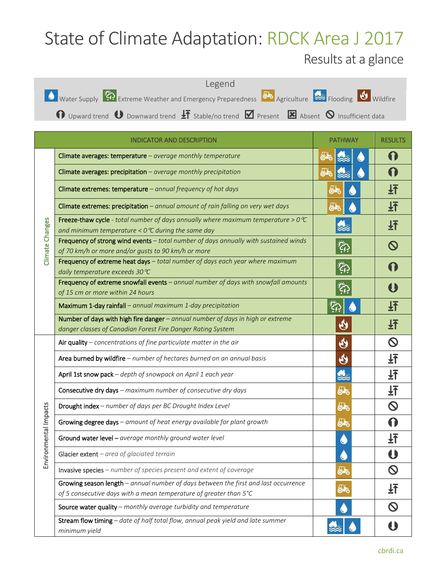## State of Climate Adaptation: RDCK Area J 2017

## Results at a glance



|                            | <b>INDICATOR AND DESCRIPTION</b>                                                                                                                          | <b>PATHWAY</b>            | <b>RESULTS</b> |
|----------------------------|-----------------------------------------------------------------------------------------------------------------------------------------------------------|---------------------------|----------------|
| Climate Changes            | Climate averages: temperature - average monthly temperature                                                                                               | ௸                         |                |
|                            | Climate averages: precipitation - average monthly precipitation                                                                                           | 55                        |                |
|                            | Climate extremes: temperature - annual frequency of hot days                                                                                              | 66                        |                |
|                            | Climate extremes: precipitation $-$ annual amount of rain falling on very wet days                                                                        | ௸                         | 圩              |
|                            | Freeze-thaw cycle - total number of days annually where maximum temperature > $0^{\circ}C$<br>and minimum temperature < $0^{\circ}$ C during the same day |                           | 玨              |
|                            | Frequency of strong wind events - total number of days annually with sustained winds<br>of 70 km/h or more and/or gusts to 90 km/h or more                | ĨĢ.                       |                |
|                            | Frequency of extreme heat days - total number of days each year where maximum<br>daily temperature exceeds 30 ℃                                           | 公                         |                |
|                            | Frequency of extreme snowfall events - annual number of days with snowfall amounts<br>of 15 cm or more within 24 hours                                    | $\widetilde{\mathcal{L}}$ |                |
|                            | Maximum 1-day rainfall - annual maximum 1-day precipitation                                                                                               |                           | 玨              |
|                            | Number of days with high fire danger - annual number of days in high or extreme<br>danger classes of Canadian Forest Fire Danger Rating System            | $\boldsymbol{\vartheta}$  | 玨              |
|                            | Air quality $-$ concentrations of fine particulate matter in the air                                                                                      | $\mathbf{\Theta}$         |                |
|                            | Area burned by wildfire - number of hectares burned on an annual basis                                                                                    | $\bf \Theta$              | 圩              |
| ronmental Impacts<br>Envil | April 1st snow pack - depth of snowpack on April 1 each year                                                                                              | 兔                         | 圩              |
|                            | Consecutive dry days - maximum number of consecutive dry days                                                                                             | 55                        |                |
|                            | Drought index - number of days per BC Drought Index Level                                                                                                 | 55                        |                |
|                            | Growing degree days - amount of heat energy available for plant growth                                                                                    | ௸                         |                |
|                            | Ground water level - average monthly ground water level                                                                                                   |                           |                |
|                            | Glacier extent $-$ area of glaciated terrain                                                                                                              |                           |                |
|                            | Invasive species - number of species present and extent of coverage                                                                                       | 55                        |                |
|                            | Growing season length - annual number of days between the first and last occurrence<br>of 5 consecutive days with a mean temperature of greater than 5°C  | ௸                         | 玨              |
|                            | Source water quality - monthly average turbidity and temperature                                                                                          |                           |                |
|                            | Stream flow timing - date of half total flow, annual peak yield and late summer<br>minimum yield                                                          |                           |                |